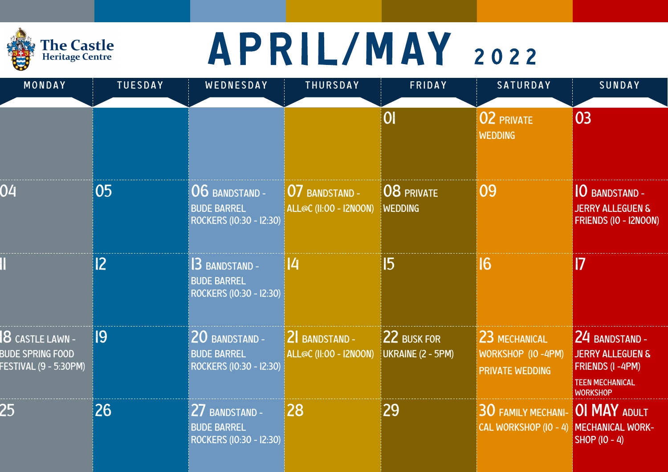### A P R I L / M A Y 2022

The Castle<br>Heritage Centre

| MONDAY                                                                           | <b>TUESDAY</b> | WEDNESDAY                                                       | THURSDAY                                               | FRIDAY                                  | <b>SATURDAY</b>                                                 | SUNDAY                                                                                                               |
|----------------------------------------------------------------------------------|----------------|-----------------------------------------------------------------|--------------------------------------------------------|-----------------------------------------|-----------------------------------------------------------------|----------------------------------------------------------------------------------------------------------------------|
|                                                                                  |                |                                                                 |                                                        | 0                                       | <b>02 PRIVATE</b><br><b>WEDDING</b>                             | 03                                                                                                                   |
| 04                                                                               | 05             | 06 BANDSTAND -<br><b>BUDE BARREL</b><br>ROCKERS (IO:30 - I2:30) | <b>O7 BANDSTAND -</b><br><b>ALL@C (II:00 - I2NOON)</b> | 08 PRIVATE<br><b>WEDDING</b>            | 09                                                              | <b>O BANDSTAND -</b><br><b>JERRY ALLEGUEN &amp;</b><br>FRIENDS (IO - I2NOON)                                         |
|                                                                                  | 2              | 3 BANDSTAND -<br><b>BUDE BARREL</b><br>ROCKERS (IO:30 - I2:30)  | <u> /</u>                                              | $\overline{5}$                          | 16                                                              | $\blacksquare$                                                                                                       |
| <b>8</b> CASTLE LAWN -<br><b>BUDE SPRING FOOD</b><br><b>ESTIVAL (9 - 5:30PM)</b> | 19             | 20 BANDSTAND -<br><b>BUDE BARREL</b><br>ROCKERS (10:30 - 12:30) | $2$ BANDSTAND -<br><b>ALL@C (II:00 - I2NOON)</b>       | 22 BUSK FOR<br><b>UKRAINE (2 - 5PM)</b> | 23 MECHANICAL<br>WORKSHOP (IO-4PM)<br><b>PRIVATE WEDDING</b>    | 24 BANDSTAND -<br><b>JERRY ALLEGUEN &amp;</b><br><b>FRIENDS (I-4PM)</b><br><b>TEEN MECHANICAL</b><br><b>WORKSHOP</b> |
| 25                                                                               | 26             | 27 BANDSTAND -<br><b>BUDE BARREL</b><br>ROCKERS (10:30 - 12:30) | 28                                                     | 29                                      | <b>30 FAMILY MECHANI- OI MAY ADULT</b><br>CAL WORKSHOP (IO - 4) | MECHANICAL WORK-<br>$S HOP (IO - 4)$                                                                                 |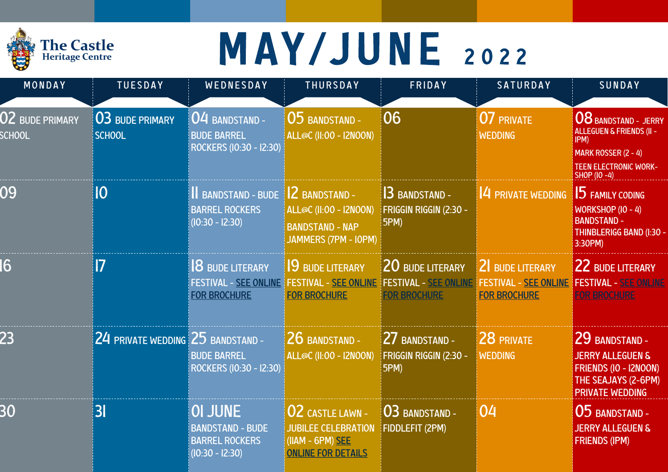

### MAY/JUNE 2022

| MONDAY                           | <b>TUESDAY</b>                    | WEDNESDAY                                                                               | THURSDAY                                                                                               | FRIDAY                                                                  | SATURDAY                                                               | SUNDAY                                                                                                                                            |
|----------------------------------|-----------------------------------|-----------------------------------------------------------------------------------------|--------------------------------------------------------------------------------------------------------|-------------------------------------------------------------------------|------------------------------------------------------------------------|---------------------------------------------------------------------------------------------------------------------------------------------------|
| 02 BUDE PRIMARY<br><b>SCHOOL</b> | 03 BUDE PRIMARY<br><b>SCHOOL</b>  | 04 BANDSTAND -<br><b>BUDE BARREL</b><br>ROCKERS (10:30 - 12:30)                         | <b>05 BANDSTAND -</b><br><b>ALL@C (II:00 - I2NOON)</b>                                                 | 06                                                                      | 07 PRIVATE<br><b>WEDDING</b>                                           | <b>08 BANDSTAND - JERRY</b><br><b>ALLEGUEN &amp; FRIENDS (II -</b><br>IPM)<br>MARK ROSSER (2 - 4)<br><b>TEEN ELECTRONIC WORK-</b><br>SHOP (10 -4) |
| 09                               | IO                                | <b>II BANDSTAND - BUDE</b><br><b>BARREL ROCKERS</b><br>$(10:30 - 12:30)$                | 2 BANDSTAND -<br><b>ALL@C (II:00 - I2NOON)</b><br><b>BANDSTAND - NAP</b><br>JAMMERS (7PM - IOPM)       | <b>3 BANDSTAND -</b><br>FRIGGIN RIGGIN (2:30 -<br>5PM)                  | 4 PRIVATE WEDDING                                                      | <b>15 FAMILY CODING</b><br>WORKSHOP (IO - 4)<br><b>BANDSTAND -</b><br>THINBLERIGG BAND (I:30 -<br>3:30PM)                                         |
| $6\overline{6}$                  | $\overline{7}$                    | <b>8 BUDE LITERARY</b><br><b>FOR BROCHURE</b>                                           | <b>9 BUDE LITERARY</b><br><b>FESTIVAL - SEE ONLINE   FESTIVAL - SEE ONLINE</b><br><b>FOR BROCHURE</b>  | 20 BUDE LITERARY<br><b>FESTIVAL - SEE ONLINE</b><br><b>FOR BROCHURE</b> | 2 BUDE LITERARY<br><b>FESTIVAL - SEE ONLINE</b><br><b>FOR BROCHURE</b> | 22 BUDE LITERARY<br><b>FESTIVAL - SEE ONLINE</b><br><b>FOR BROCHURE</b>                                                                           |
| 23                               | 24 PRIVATE WEDDING 25 BANDSTAND - | <b>BUDE BARREL</b><br>ROCKERS (10:30 - 12:30)                                           | 26 BANDSTAND -<br><b>ALL@C (II:00 - I2NOON)</b>                                                        | 27 BANDSTAND -<br>FRIGGIN RIGGIN (2:30 -<br>5PM)                        | 28 PRIVATE<br><b>WEDDING</b>                                           | 29 BANDSTAND-<br><b>JERRY ALLEGUEN &amp;</b><br>FRIENDS (IO - I2NOON)<br>THE SEAJAYS (2-6PM)<br><b>PRIVATE WEDDING</b>                            |
| 30                               | 3 <sub>l</sub>                    | <b>OI JUNE</b><br><b>BANDSTAND - BUDE</b><br><b>BARREL ROCKERS</b><br>$(10:30 - 12:30)$ | <b>02 CASTLE LAWN -</b><br><b>JUBILEE CELEBRATION</b><br>(IIAM - 6PM) SEE<br><b>ONLINE FOR DETAILS</b> | 03 BANDSTAND -<br>FIDDLEFIT (2PM)                                       | 04                                                                     | 05 BANDSTAND -<br><b>JERRY ALLEGUEN &amp;</b><br><b>FRIENDS (IPM)</b>                                                                             |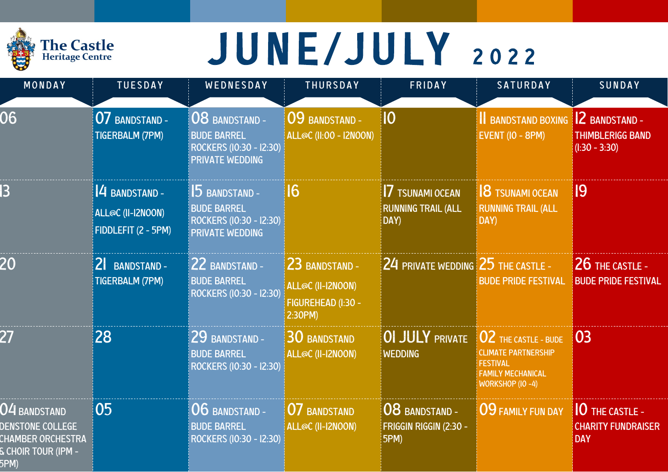|  | <b>The Castle</b><br><b>Heritage Centre</b> |
|--|---------------------------------------------|
|--|---------------------------------------------|

## JUNE/JULY 2022

| MONDAY                                                                                      | <b>TUESDAY</b>                                            | WEDNESDAY                                                                                 | THURSDAY                                                             | FRIDAY                                                      | <b>SATURDAY</b>                                                                                                       | SUNDAY                                                             |
|---------------------------------------------------------------------------------------------|-----------------------------------------------------------|-------------------------------------------------------------------------------------------|----------------------------------------------------------------------|-------------------------------------------------------------|-----------------------------------------------------------------------------------------------------------------------|--------------------------------------------------------------------|
| 06                                                                                          | 07 BANDSTAND -<br>TIGERBALM (7PM)                         | 08 BANDSTAND -<br><b>BUDE BARREL</b><br>ROCKERS (10:30 - 12:30)<br><b>PRIVATE WEDDING</b> | 09 BANDSTAND -<br><b>ALL@C (II:00 - I2NOON)</b>                      | 10                                                          | <b>II BANDSTAND BOXING</b><br><b>EVENT (IO - 8PM)</b>                                                                 | <b>2 BANDSTAND -</b><br><b>THIMBLERIGG BAND</b><br>$(l:30 - 3:30)$ |
| 3                                                                                           | 4 BANDSTAND -<br>ALL@C (II-I2NOON)<br>FIDDLEFIT (2 - 5PM) | 5 BANDSTAND -<br><b>BUDE BARREL</b><br>ROCKERS (10:30 - 12:30)<br><b>PRIVATE WEDDING</b>  | $6\overline{6}$                                                      | <b>7 TSUNAMI OCEAN</b><br><b>RUNNING TRAIL (ALL</b><br>DAY) | <b>8 TSUNAMI OCEAN</b><br><b>RUNNING TRAIL (ALL</b><br>DAY)                                                           | 19                                                                 |
| 20                                                                                          | 2 BANDSTAND -<br><b>TIGERBALM (7PM)</b>                   | 22 BANDSTAND -<br><b>BUDE BARREL</b><br>ROCKERS (10:30 - 12:30)                           | 23 BANDSTAND -<br>ALL@C (II-I2NOON)<br>FIGUREHEAD (I:30 -<br>2:30PM) | $24$ private wedding $25$ the castle -                      | <b>BUDE PRIDE FESTIVAL</b>                                                                                            | 26 THE CASTLE -<br><b>BUDE PRIDE FESTIVAL</b>                      |
| 27                                                                                          | 28                                                        | 29 BANDSTAND -<br><b>BUDE BARREL</b><br>ROCKERS (10:30 - 12:30)                           | <b>30 BANDSTAND</b><br>ALL@C (II-I2NOON)                             | <b>OI JULY PRIVATE</b><br><b>WEDDING</b>                    | 02 THE CASTLE - BUDE<br><b>CLIMATE PARTNERSHIP</b><br><b>FESTIVAL</b><br><b>FAMILY MECHANICAL</b><br>WORKSHOP (IO -4) | 03                                                                 |
| 04 BANDSTAND<br>DENSTONE COLLEGE<br><b>CHAMBER ORCHESTRA</b><br>S CHOIR TOUR (IPM -<br>5PM) | 05                                                        | 06 BANDSTAND -<br><b>BUDE BARREL</b><br>ROCKERS (10:30 - 12:30)                           | <b>07 BANDSTAND</b><br>ALL@C (II-I2NOON)                             | 08 BANDSTAND -<br>FRIGGIN RIGGIN (2:30 -<br><b>5PM)</b>     | 09 FAMILY FUN DAY                                                                                                     | 10 THE CASTLE -<br><b>CHARITY FUNDRAISER</b><br><b>DAY</b>         |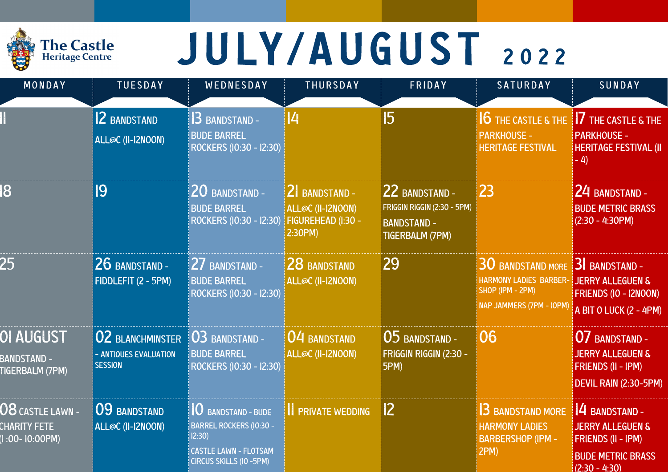#### **The Castle**<br>Heritage Centre

## JULY/AUGUST 2022

| MONDAY                                                         | <b>TUESDAY</b>                                                          | WEDNESDAY                                                                                                                        | THURSDAY                                                                   | FRIDAY                                                                                        | <b>SATURDAY</b>                                                                                                  | <b>SUNDAY</b>                                                                                                            |
|----------------------------------------------------------------|-------------------------------------------------------------------------|----------------------------------------------------------------------------------------------------------------------------------|----------------------------------------------------------------------------|-----------------------------------------------------------------------------------------------|------------------------------------------------------------------------------------------------------------------|--------------------------------------------------------------------------------------------------------------------------|
|                                                                | 2 BANDSTAND<br>ALL@C (II-I2NOON)                                        | 3 BANDSTAND -<br><b>BUDE BARREL</b><br>ROCKERS (10:30 - 12:30)                                                                   | 4                                                                          | 5                                                                                             | <b>6 THE CASTLE &amp; THE</b><br><b>PARKHOUSE -</b><br><b>HERITAGE FESTIVAL</b>                                  | <b>7</b> THE CASTLE & THE<br><b>PARKHOUSE -</b><br><b>HERITAGE FESTIVAL (II</b><br>$-4$                                  |
| 8                                                              | 19                                                                      | 20 BANDSTAND -<br><b>BUDE BARREL</b><br>ROCKERS (10:30 - 12:30)                                                                  | <b>2 BANDSTAND -</b><br>ALL@C (II-I2NOON)<br>FIGUREHEAD (I:30 -<br>2:30PM) | 22 BANDSTAND -<br>FRIGGIN RIGGIN (2:30 - 5PM)<br><b>BANDSTAND -</b><br><b>TIGERBALM (7PM)</b> | 23                                                                                                               | 24 BANDSTAND -<br><b>BUDE METRIC BRASS</b><br>$(2:30 - 4:30PM)$                                                          |
| 25                                                             | 26 BANDSTAND -<br>FIDDLEFIT (2 - 5PM)                                   | 27 BANDSTAND -<br><b>BUDE BARREL</b><br>ROCKERS (10:30 - 12:30)                                                                  | 28 BANDSTAND<br>ALL@C (II-I2NOON)                                          | 29                                                                                            | <b>30 BANDSTAND MORE</b><br><b>HARMONY LADIES BARBER-</b><br>SHOP (IPM - 2PM)<br><b>NAP JAMMERS (7PM - IOPM)</b> | <b>3</b> BANDSTAND -<br><b>JERRY ALLEGUEN &amp;</b><br>FRIENDS (IO - I2NOON)<br>A BIT O LUCK (2 - 4PM)                   |
| <b>OI AUGUST</b><br><b>BANDSTAND -</b><br>TIGERBALM (7PM)      | <b>02 BLANCHMINSTER</b><br><b>ANTIQUES EVALUATION</b><br><b>SESSION</b> | 03 BANDSTAND -<br><b>BUDE BARREL</b><br>ROCKERS (10:30 - 12:30)                                                                  | 04 BANDSTAND<br>ALL@C (II-I2NOON)                                          | 05 BANDSTAND -<br>FRIGGIN RIGGIN (2:30 -<br>5PM)                                              | 06                                                                                                               | <b>07 BANDSTAND -</b><br><b>JERRY ALLEGUEN &amp;</b><br>FRIENDS (II - IPM)<br>DEVIL RAIN (2:30-5PM)                      |
| <u>08 CASTLE LAWN - </u><br><b>HARITY FETE</b><br>:00-10:00PM) | 09 BANDSTAND<br>ALL@C (II-I2NOON)                                       | <b>O</b> BANDSTAND - BUDE<br><b>BARREL ROCKERS (IO:30 -</b><br>12:30)<br><b>CASTLE LAWN - FLOTSAM</b><br>CIRCUS SKILLS (IO -5PM) | <b>I</b> PRIVATE WEDDING                                                   | 2                                                                                             | <b>3 BANDSTAND MORE</b><br><b>HARMONY LADIES</b><br><b>BARBERSHOP (IPM -</b><br>2PM)                             | 4 BANDSTAND -<br><b>JERRY ALLEGUEN &amp;</b><br><b>FRIENDS (II - IPM)</b><br><b>BUDE METRIC BRASS</b><br>$(2:30 - 4:30)$ |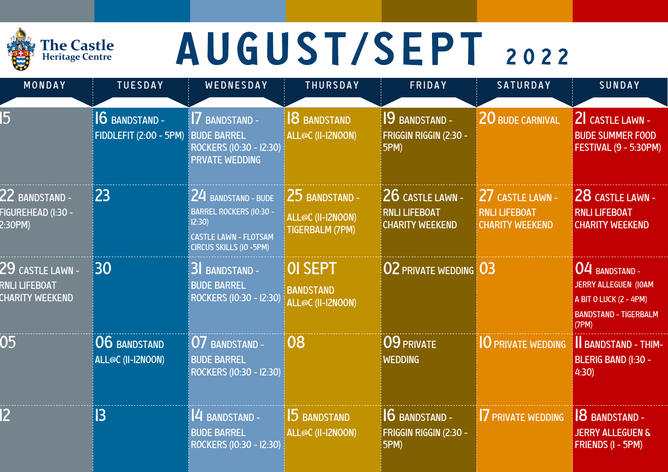### **The Castle**<br>Heritage Centre

# AUGUST/SEPT 2022

| MONDAY                                                        | <b>TUESDAY</b>                                        | WEDNESDAY                                                                                                                 | <b>THURSDAY</b>                                               | FRIDAY                                                             | <b>SATURDAY</b>                                                    | SUNDAY                                                                                                           |
|---------------------------------------------------------------|-------------------------------------------------------|---------------------------------------------------------------------------------------------------------------------------|---------------------------------------------------------------|--------------------------------------------------------------------|--------------------------------------------------------------------|------------------------------------------------------------------------------------------------------------------|
| 15                                                            | <b>6 BANDSTAND -</b><br><b>FIDDLEFIT (2:00 - 5PM)</b> | <b>7 BANDSTAND -</b><br><b>BUDE BARREL</b><br>ROCKERS (10:30 - 12:30)<br><b>PRVATE WEDDING</b>                            | <b>8 BANDSTAND</b><br>ALL@C (II-I2NOON)                       | 9 BANDSTAND -<br>FRIGGIN RIGGIN (2:30 -<br>5PM)                    | 20 BUDE CARNIVAL                                                   | 2 CASTLE LAWN -<br><b>BUDE SUMMER FOOD</b><br><b>FESTIVAL (9 - 5:30PM)</b>                                       |
| $22$ bandstand -<br>-IGUREHEAD (I:30 -<br>2:30PM)             | 23                                                    | 24 BANDSTAND - BUDE<br><b>BARREL ROCKERS (IO:30 -</b><br>12:30<br><b>CASTLE LAWN - FLOTSAM</b><br>CIRCUS SKILLS (IO -5PM) | 25 BANDSTAND -<br>ALL@C (II-I2NOON)<br><b>TIGERBALM (7PM)</b> | 26 CASTLE LAWN -<br><b>RNLI LIFEBOAT</b><br><b>CHARITY WEEKEND</b> | 27 CASTLE LAWN -<br><b>RNLI LIFEBOAT</b><br><b>CHARITY WEEKEND</b> | 28 CASTLE LAWN -<br><b>RNLI LIFEBOAT</b><br><b>CHARITY WEEKEND</b>                                               |
| $29$ castle lawn -<br>RNLI LIFEBOAT<br><b>CHARITY WEEKEND</b> | 30                                                    | 3 BANDSTAND -<br><b>BUDE BARREL</b><br>ROCKERS (10:30 - 12:30)                                                            | <b>OI SEPT</b><br><b>BANDSTAND</b><br>ALL@C (II-I2NOON)       | <b>02 PRIVATE WEDDING 03</b>                                       |                                                                    | 04 BANDSTAND -<br><b>JERRY ALLEGUEN (IOAM</b><br>A BIT O LUCK (2 - 4PM)<br><b>BANDSTAND - TIGERBALM</b><br>(7PM) |
| 05                                                            | <b>06 BANDSTAND</b><br>ALL@C (II-I2NOON)              | 07 BANDSTAND -<br><b>BUDE BARREL</b><br>ROCKERS (10:30 - 12:30)                                                           | 08                                                            | 09 PRIVATE<br><b>WEDDING</b>                                       | <b>O PRIVATE WEDDING</b>                                           | <b>II BANDSTAND - THIM-</b><br><b>BLERIG BAND (I:30 -</b><br>4:30                                                |
| <b>2</b>                                                      | 3                                                     | 4 BANDSTAND -<br><b>BUDE BARREL</b><br>ROCKERS (10:30 - 12:30)                                                            | 5 BANDSTAND<br>ALL@C (II-I2NOON)                              | 6 BANDSTAND -<br>FRIGGIN RIGGIN (2:30 -<br>5PM)                    | <b>7 PRIVATE WEDDING</b>                                           | <b>8</b> BANDSTAND -<br><b>JERRY ALLEGUEN &amp;</b><br><b>FRIENDS (I - 5PM)</b>                                  |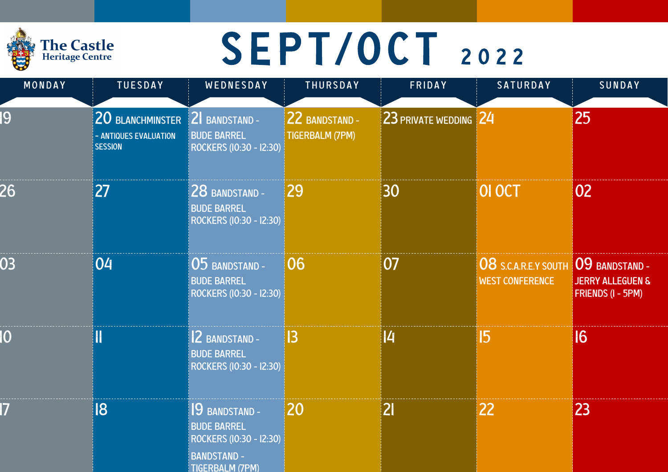### The Castle<br>Heritage Centre

## SEPT/OCT 2022

| MONDAY      | <b>TUESDAY</b>                                                   | WEDNESDAY                                                                                                        | THURSDAY                                 | FRIDAY                | SATURDAY                                              | SUNDAY                                                                    |
|-------------|------------------------------------------------------------------|------------------------------------------------------------------------------------------------------------------|------------------------------------------|-----------------------|-------------------------------------------------------|---------------------------------------------------------------------------|
| 19          | 20 BLANCHMINSTER<br><b>ANTIQUES EVALUATION</b><br><b>SESSION</b> | 2 BANDSTAND -<br><b>BUDE BARREL</b><br>ROCKERS (10:30 - 12:30)                                                   | 22 BANDSTAND -<br><b>TIGERBALM (7PM)</b> | 23 PRIVATE WEDDING 24 |                                                       | 25                                                                        |
| 26          | 27                                                               | 28 BANDSTAND -<br><b>BUDE BARREL</b><br>ROCKERS (10:30 - 12:30)                                                  | 29                                       | 30                    | OI OCT                                                | 02                                                                        |
| 03          | 04                                                               | 05 BANDSTAND -<br><b>BUDE BARREL</b><br>ROCKERS (10:30 - 12:30)                                                  | 06                                       | 07                    | <b>08 S.C.A.R.E.Y SOUTH</b><br><b>WEST CONFERENCE</b> | 09 BANDSTAND -<br><b>JERRY ALLEGUEN &amp;</b><br><b>FRIENDS (I - 5PM)</b> |
| $ 0\rangle$ |                                                                  | 2 BANDSTAND -<br><b>BUDE BARREL</b><br>ROCKERS (10:30 - 12:30)                                                   | $\overline{3}$                           | 4                     | 15                                                    | 16                                                                        |
| 7           | 18                                                               | 19 BANDSTAND -<br><b>BUDE BARREL</b><br>ROCKERS (10:30 - 12:30)<br><b>BANDSTAND -</b><br><b>TIGFRBAI M (7PM)</b> | 20                                       | 21                    | 22                                                    | 23                                                                        |